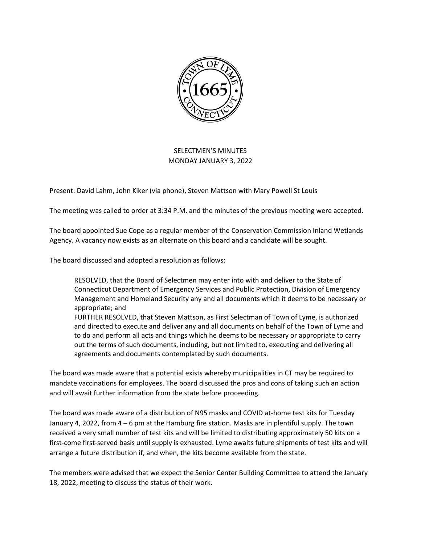

## SELECTMEN'S MINUTES MONDAY JANUARY 3, 2022

Present: David Lahm, John Kiker (via phone), Steven Mattson with Mary Powell St Louis

The meeting was called to order at 3:34 P.M. and the minutes of the previous meeting were accepted.

The board appointed Sue Cope as a regular member of the Conservation Commission Inland Wetlands Agency. A vacancy now exists as an alternate on this board and a candidate will be sought.

The board discussed and adopted a resolution as follows:

RESOLVED, that the Board of Selectmen may enter into with and deliver to the State of Connecticut Department of Emergency Services and Public Protection, Division of Emergency Management and Homeland Security any and all documents which it deems to be necessary or appropriate; and

FURTHER RESOLVED, that Steven Mattson, as First Selectman of Town of Lyme, is authorized and directed to execute and deliver any and all documents on behalf of the Town of Lyme and to do and perform all acts and things which he deems to be necessary or appropriate to carry out the terms of such documents, including, but not limited to, executing and delivering all agreements and documents contemplated by such documents.

The board was made aware that a potential exists whereby municipalities in CT may be required to mandate vaccinations for employees. The board discussed the pros and cons of taking such an action and will await further information from the state before proceeding.

The board was made aware of a distribution of N95 masks and COVID at-home test kits for Tuesday January 4, 2022, from 4 – 6 pm at the Hamburg fire station. Masks are in plentiful supply. The town received a very small number of test kits and will be limited to distributing approximately 50 kits on a first-come first-served basis until supply is exhausted. Lyme awaits future shipments of test kits and will arrange a future distribution if, and when, the kits become available from the state.

The members were advised that we expect the Senior Center Building Committee to attend the January 18, 2022, meeting to discuss the status of their work.